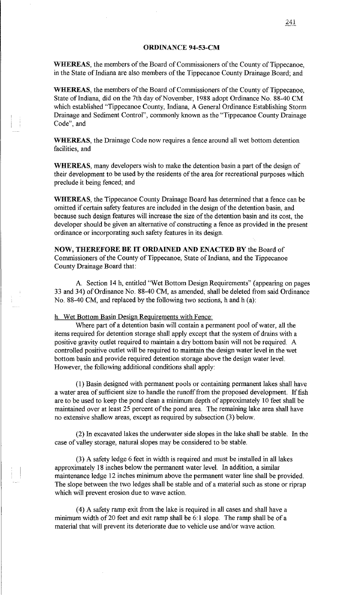## ORDINANCE 94-53-CM

WHEREAS, the members of the Board of Commissioners of the County of Tippecanoe, in the State of Indiana are also members of the Tippecanoe County Drainage Board; and

WHEREAS, the members of the Board of Commissioners of the County of Tippecanoe, State of Indiana, did on the 7th day of November, 1988 adopt Ordinance No. 88-40 CM which established "Tippecanoe County, Indiana, A General Ordinance Establishing Storm Drainage and Sediment Control", commonly known as the "Tippecanoe County Drainage Code", and

WHEREAS, the Drainage Code now requires a fence around all wet bottom detention facilities, and

WHEREAS, many developers wish to make the detention basin a part of the design of their development to be used by the residents of the area for recreational purposes which preclude it being fenced; and

WHEREAS, the Tippecanoe County Drainage Board has determined that a fence can be omitted if certain safety features are included in the design of the detention basin, and because such design features will increase the size of the detention basin and its cost, the developer should be given an alternative of constructing a fence as provided in the present ordinance or incorporating such safety features in its design.

NOW, THEREFORE BE IT ORDAINED AND ENACTED BY the Board of Commissioners of the County of Tippecanoe, State of Indiana, and the Tippecanoe County Drainage Board that:

A Section 14 h, entitled "Wet Bottom Design Requirements" (appearing on pages 33 and 34) of Ordinance No. 88-40 CM, as amended, shall be deleted from said Ordinance No. 88-40 CM, and replaced by the following two sections, hand h (a):

h. Wet Bottom Basin Design Requirements with Fence:

Where part of a detention basin will contain a permanent pool of water, all the items required for detention storage shall apply except that the system of drains with a positive gravity outlet required to maintain a dry bottom basin will not be required. A controlled positive outlet will be required to maintain the design water level in the wet bottom basin and provide required detention storage above the design water level. However, the following additional conditions shall apply:

(1) Basin designed with permanent pools or containing permanent lakes shall have a water area of sufficient size to handle the runoff from the proposed development. If fish are to be used to keep the pond clean a minimum depth of approximately 10 feet shall be maintained over at least 25 percent of the pond area. The remaining lake area shall have no extensive shallow areas, except as required by subsection (3) below.

(2) In excavated lakes the underwater side slopes in the lake shall be stable. In the case of valley storage, natural slopes may be considered to be stable.

(3) A safety ledge 6 feet in width is required and must be installed in all lakes approximately 18 inches below the permanent water level. In addition, a similar maintenance ledge 12 inches minimum above the permanent water line shall be provided. The slope between the two ledges shall be stable and of a material such as stone or riprap which will prevent erosion due to wave action.

( 4) A safety ramp exit from the lake is required in all cases and shall have a minimum width of 20 feet and exit ramp shall be 6:1 slope. The ramp shall be of a material that will prevent its deteriorate due to vehicle use and/or wave action.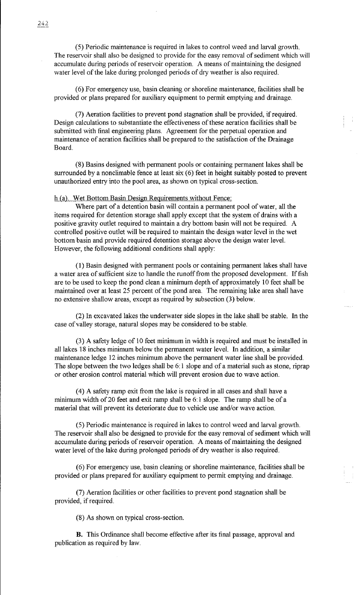( 5) Periodic maintenance is required in lakes to control weed and larval growth. The reservoir shall also be designed to provide for the easy removal of sediment which will accumulate during periods of reservoir operation. A means of maintaining the designed water level of the lake during prolonged periods of dry weather is also required.

(6) For emergency use, basin cleaning or shoreline maintenance, facilities shall be provided or plans prepared for auxiliary equipment to pennit emptying and drainage.

(7) Aeration facilities to prevent pond stagnation shall be provided, if required. Design calculations to substantiate the effectiveness of these aeration facilities shall be submitted with final engineering plans. Agreement for the perpetual operation and maintenance of aeration facilities shall be prepared to the satisfaction of the Drainage Board.

(8) Basins designed with permanent pools or containing permanent lakes shall be surrounded by a nonclimable fence at least  $\sin(6)$  feet in height suitably posted to prevent unauthorized entry into the pool area, as shown on typical cross-section.

h (a). Wet Bottom Basin Design Requirements without Fence:

Where part of a detention basin will contain a permanent pool of water, all the items required for detention storage shall apply except that the system of drains with a positive gravity outlet required to maintain a dry bottom basin will not be required. A controlled positive outlet will be required to maintain the design water level in the wet bottom basin and provide required detention storage above the design water level. However, the following additional conditions shall apply:

(1) Basin designed with permanent pools or containing permanent lakes shall have a water area of sufficient size to handle the runoff from the proposed development. If fish are to be used to keep the pond clean a minimum depth of approximately 10 feet shall be maintained over at least 25 percent of the pond area. The remaining lake area shall have no extensive shallow areas, except as required by subsection (3) below.

(2) In excavated lakes the underwater side slopes in the lake shall be stable. In the case of valley storage, natural slopes may be considered to be stable.

(3) A safety ledge of 10 feet minimum in width is required and must be installed in all lakes 18 inches minimum below the permanent water level. In addition, a similar maintenance ledge 12 inches minimum above the permanent water line shall be provided. The slope between the two ledges shall be 6:1 slope and of a material such as stone, riprap or other erosion control material which will prevent erosion due to wave action.

( 4) A safety ramp exit from the lake is required in all cases and shall have a minimum width of 20 feet and exit ramp shall be 6:1 slope. The ramp shall be of a material that will prevent its deteriorate due to vehicle use and/or wave action.

( 5) Periodic maintenance is required in lakes to control weed and larval growth. The reservoir shall also be designed to provide for the easy removal of sediment which will accumulate during periods of reservoir operation. A means of maintaining the designed water level of the lake during prolonged periods of dry weather is also required.

(6) For emergency use, basin cleaning or shoreline maintenance, facilities shall be provided or plans prepared for auxiliary equipment to permit emptying and drainage.

(7) Aeration facilities or other facilities to prevent pond stagnation shall be provided, if required.

(8) As shown on typical cross-section.

B. This Ordinance shall become effective after its final passage, approval and publication as required by law.